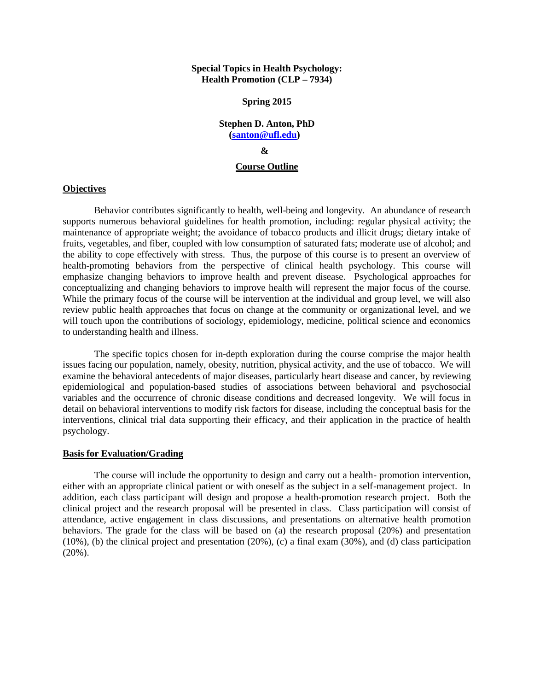### **Special Topics in Health Psychology: Health Promotion (CLP – 7934)**

#### **Spring 2015**

# **Stephen D. Anton, PhD [\(santon@ufl.edu\)](mailto:santon@ufl.edu) &**

#### **Course Outline**

### **Objectives**

Behavior contributes significantly to health, well-being and longevity. An abundance of research supports numerous behavioral guidelines for health promotion, including: regular physical activity; the maintenance of appropriate weight; the avoidance of tobacco products and illicit drugs; dietary intake of fruits, vegetables, and fiber, coupled with low consumption of saturated fats; moderate use of alcohol; and the ability to cope effectively with stress. Thus, the purpose of this course is to present an overview of health-promoting behaviors from the perspective of clinical health psychology. This course will emphasize changing behaviors to improve health and prevent disease. Psychological approaches for conceptualizing and changing behaviors to improve health will represent the major focus of the course. While the primary focus of the course will be intervention at the individual and group level, we will also review public health approaches that focus on change at the community or organizational level, and we will touch upon the contributions of sociology, epidemiology, medicine, political science and economics to understanding health and illness.

The specific topics chosen for in-depth exploration during the course comprise the major health issues facing our population, namely, obesity, nutrition, physical activity, and the use of tobacco. We will examine the behavioral antecedents of major diseases, particularly heart disease and cancer, by reviewing epidemiological and population-based studies of associations between behavioral and psychosocial variables and the occurrence of chronic disease conditions and decreased longevity. We will focus in detail on behavioral interventions to modify risk factors for disease, including the conceptual basis for the interventions, clinical trial data supporting their efficacy, and their application in the practice of health psychology.

#### **Basis for Evaluation/Grading**

The course will include the opportunity to design and carry out a health- promotion intervention, either with an appropriate clinical patient or with oneself as the subject in a self-management project. In addition, each class participant will design and propose a health-promotion research project. Both the clinical project and the research proposal will be presented in class. Class participation will consist of attendance, active engagement in class discussions, and presentations on alternative health promotion behaviors. The grade for the class will be based on (a) the research proposal (20%) and presentation (10%), (b) the clinical project and presentation (20%), (c) a final exam  $(30\%)$ , and (d) class participation  $(20\%)$ .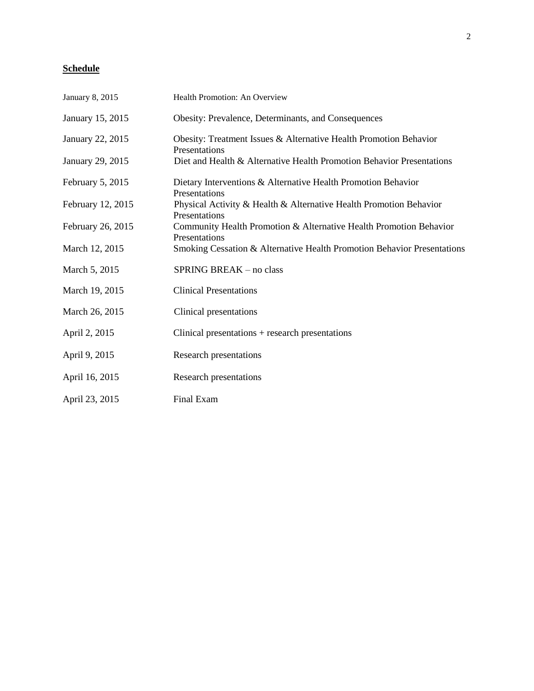# **Schedule**

| January 8, 2015   | Health Promotion: An Overview                                                       |
|-------------------|-------------------------------------------------------------------------------------|
| January 15, 2015  | Obesity: Prevalence, Determinants, and Consequences                                 |
| January 22, 2015  | Obesity: Treatment Issues & Alternative Health Promotion Behavior<br>Presentations  |
| January 29, 2015  | Diet and Health & Alternative Health Promotion Behavior Presentations               |
| February 5, 2015  | Dietary Interventions & Alternative Health Promotion Behavior<br>Presentations      |
| February 12, 2015 | Physical Activity & Health & Alternative Health Promotion Behavior<br>Presentations |
| February 26, 2015 | Community Health Promotion & Alternative Health Promotion Behavior<br>Presentations |
| March 12, 2015    | Smoking Cessation & Alternative Health Promotion Behavior Presentations             |
| March 5, 2015     | SPRING BREAK - no class                                                             |
| March 19, 2015    | <b>Clinical Presentations</b>                                                       |
| March 26, 2015    | Clinical presentations                                                              |
| April 2, 2015     | Clinical presentations + research presentations                                     |
| April 9, 2015     | Research presentations                                                              |
| April 16, 2015    | Research presentations                                                              |
| April 23, 2015    | Final Exam                                                                          |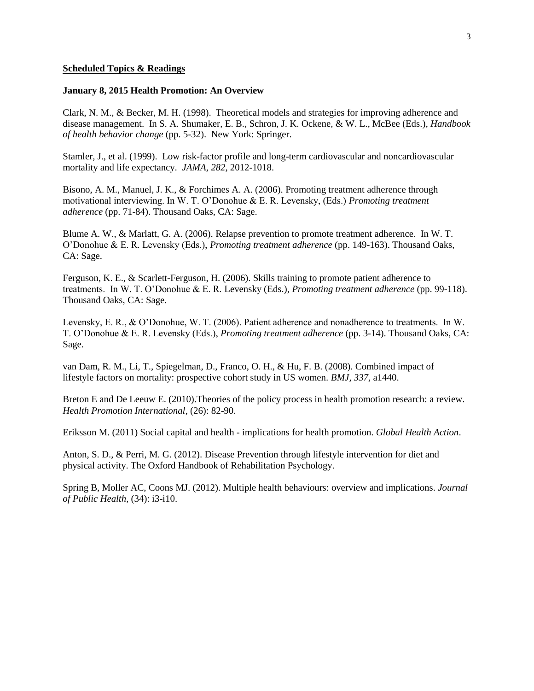#### **Scheduled Topics & Readings**

#### **January 8, 2015 Health Promotion: An Overview**

Clark, N. M., & Becker, M. H. (1998). Theoretical models and strategies for improving adherence and disease management. In S. A. Shumaker, E. B., Schron, J. K. Ockene, & W. L., McBee (Eds.), *Handbook of health behavior change* (pp. 5-32). New York: Springer.

Stamler, J., et al. (1999). Low risk-factor profile and long-term cardiovascular and noncardiovascular mortality and life expectancy. *JAMA*, *282*, 2012-1018.

Bisono, A. M., Manuel, J. K., & Forchimes A. A. (2006). Promoting treatment adherence through motivational interviewing. In W. T. O'Donohue & E. R. Levensky, (Eds.) *Promoting treatment adherence* (pp. 71-84). Thousand Oaks, CA: Sage.

Blume A. W., & Marlatt, G. A. (2006). Relapse prevention to promote treatment adherence. In W. T. O'Donohue & E. R. Levensky (Eds.), *Promoting treatment adherence* (pp. 149-163). Thousand Oaks, CA: Sage.

Ferguson, K. E., & Scarlett-Ferguson, H. (2006). Skills training to promote patient adherence to treatments. In W. T. O'Donohue & E. R. Levensky (Eds.), *Promoting treatment adherence* (pp. 99-118). Thousand Oaks, CA: Sage.

Levensky, E. R., & O'Donohue, W. T. (2006). Patient adherence and nonadherence to treatments. In W. T. O'Donohue & E. R. Levensky (Eds.), *Promoting treatment adherence* (pp. 3-14). Thousand Oaks, CA: Sage.

van Dam, R. M., Li, T., Spiegelman, D., Franco, O. H., & Hu, F. B. (2008). Combined impact of lifestyle factors on mortality: prospective cohort study in US women. *BMJ, 337,* a1440.

Breton E and De Leeuw E. (2010).Theories of the policy process in health promotion research: a review. *Health Promotion International*, (26): 82-90.

Eriksson M. (2011) Social capital and health - implications for health promotion. *Global Health Action*.

Anton, S. D., & Perri, M. G. (2012). Disease Prevention through lifestyle intervention for diet and physical activity. The Oxford Handbook of Rehabilitation Psychology.

Spring B, Moller AC, Coons MJ. (2012). Multiple health behaviours: overview and implications. *Journal of Public Health,* (34): i3-i10.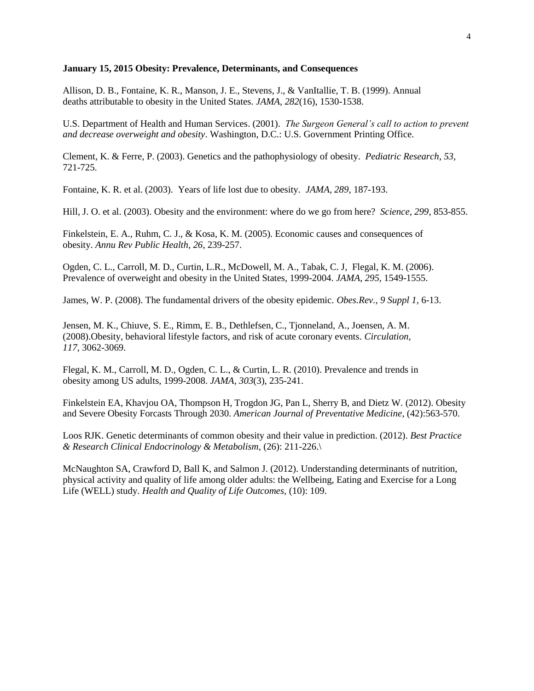#### **January 15, 2015 Obesity: Prevalence, Determinants, and Consequences**

Allison, D. B., Fontaine, K. R., Manson, J. E., Stevens, J., & VanItallie, T. B. (1999). Annual deaths attributable to obesity in the United States. *JAMA, 282*(16), 1530-1538.

U.S. Department of Health and Human Services. (2001). *The Surgeon General's call to action to prevent and decrease overweight and obesity*. Washington, D.C.: U.S. Government Printing Office.

Clement, K. & Ferre, P. (2003). Genetics and the pathophysiology of obesity. *Pediatric Research*, *53*, 721-725.

Fontaine, K. R. et al. (2003). Years of life lost due to obesity. *JAMA, 289,* 187-193.

Hill, J. O. et al. (2003). Obesity and the environment: where do we go from here? *Science, 299*, 853-855.

Finkelstein, E. A., Ruhm, C. J., & Kosa, K. M. (2005). Economic causes and consequences of obesity. *Annu Rev Public Health, 26*, 239-257.

Ogden, C. L., Carroll, M. D., Curtin, L.R., McDowell, M. A., Tabak, C. J, Flegal, K. M. (2006). Prevalence of overweight and obesity in the United States, 1999-2004. *JAMA*, *295,* 1549-1555.

James, W. P. (2008). The fundamental drivers of the obesity epidemic. *Obes.Rev., 9 Suppl 1,* 6-13.

Jensen, M. K., Chiuve, S. E., Rimm, E. B., Dethlefsen, C., Tjonneland, A., Joensen, A. M. (2008).Obesity, behavioral lifestyle factors, and risk of acute coronary events. *Circulation, 117,* 3062-3069.

Flegal, K. M., Carroll, M. D., Ogden, C. L., & Curtin, L. R. (2010). Prevalence and trends in obesity among US adults, 1999-2008. *JAMA, 303*(3), 235-241.

Finkelstein EA, Khavjou OA, Thompson H, Trogdon JG, Pan L, Sherry B, and Dietz W. (2012). Obesity and Severe Obesity Forcasts Through 2030. *American Journal of Preventative Medicine*, (42):563-570.

Loos RJK. Genetic determinants of common obesity and their value in prediction. (2012). *Best Practice & Research Clinical Endocrinology & Metabolism,* (26): 211-226.\

McNaughton SA, Crawford D, Ball K, and Salmon J. (2012). Understanding determinants of nutrition, physical activity and quality of life among older adults: the Wellbeing, Eating and Exercise for a Long Life (WELL) study. *Health and Quality of Life Outcomes,* (10): 109.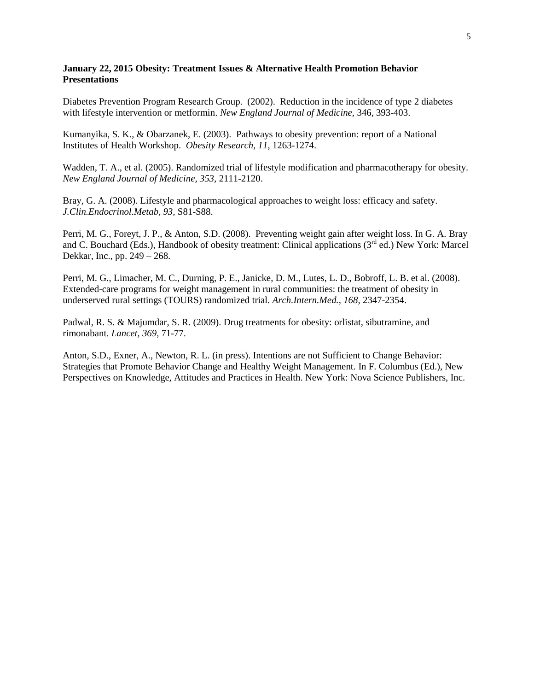# **January 22, 2015 Obesity: Treatment Issues & Alternative Health Promotion Behavior Presentations**

Diabetes Prevention Program Research Group. (2002). Reduction in the incidence of type 2 diabetes with lifestyle intervention or metformin. *New England Journal of Medicine,* 346, 393-403.

Kumanyika, S. K., & Obarzanek, E. (2003). Pathways to obesity prevention: report of a National Institutes of Health Workshop. *Obesity Research, 11,* 1263-1274.

Wadden, T. A., et al. (2005). Randomized trial of lifestyle modification and pharmacotherapy for obesity. *New England Journal of Medicine, 353,* 2111-2120.

Bray, G. A. (2008). Lifestyle and pharmacological approaches to weight loss: efficacy and safety. *J.Clin.Endocrinol.Metab, 93,* S81-S88.

Perri, M. G., Foreyt, J. P., & Anton, S.D. (2008). Preventing weight gain after weight loss. In G. A. Bray and C. Bouchard (Eds.), Handbook of obesity treatment: Clinical applications (3<sup>rd</sup> ed.) New York: Marcel Dekkar, Inc., pp. 249 – 268.

Perri, M. G., Limacher, M. C., Durning, P. E., Janicke, D. M., Lutes, L. D., Bobroff, L. B. et al. (2008). Extended-care programs for weight management in rural communities: the treatment of obesity in underserved rural settings (TOURS) randomized trial. *Arch.Intern.Med., 168,* 2347-2354.

Padwal, R. S. & Majumdar, S. R. (2009). Drug treatments for obesity: orlistat, sibutramine, and rimonabant. *Lancet, 369,* 71-77.

Anton, S.D., Exner, A., Newton, R. L. (in press). Intentions are not Sufficient to Change Behavior: Strategies that Promote Behavior Change and Healthy Weight Management. In F. Columbus (Ed.), New Perspectives on Knowledge, Attitudes and Practices in Health. New York: Nova Science Publishers, Inc.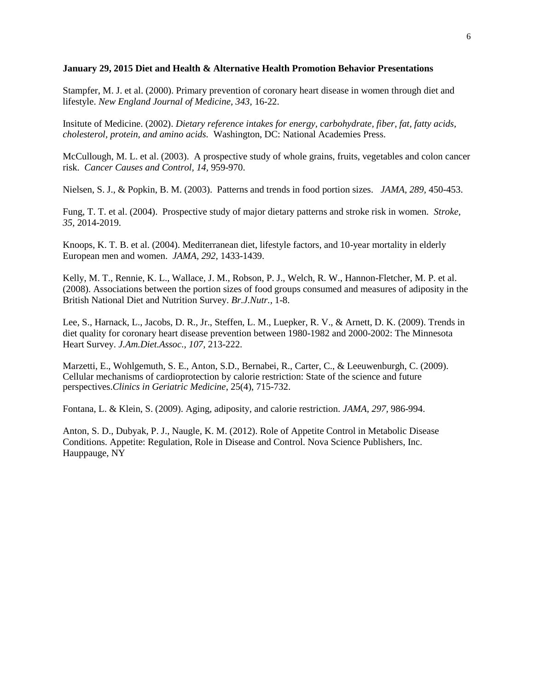#### **January 29, 2015 Diet and Health & Alternative Health Promotion Behavior Presentations**

Stampfer, M. J. et al. (2000). Primary prevention of coronary heart disease in women through diet and lifestyle. *New England Journal of Medicine, 343,* 16-22.

Insitute of Medicine. (2002). *Dietary reference intakes for energy, carbohydrate, fiber, fat, fatty acids, cholesterol, protein, and amino acids.* Washington, DC: National Academies Press.

McCullough, M. L. et al. (2003). A prospective study of whole grains, fruits, vegetables and colon cancer risk. *Cancer Causes and Control, 14,* 959-970.

Nielsen, S. J., & Popkin, B. M. (2003). Patterns and trends in food portion sizes. *JAMA, 289,* 450-453.

Fung, T. T. et al. (2004). Prospective study of major dietary patterns and stroke risk in women. *Stroke, 35,* 2014-2019.

Knoops, K. T. B. et al. (2004). Mediterranean diet, lifestyle factors, and 10-year mortality in elderly European men and women. *JAMA, 292,* 1433-1439.

Kelly, M. T., Rennie, K. L., Wallace, J. M., Robson, P. J., Welch, R. W., Hannon-Fletcher, M. P. et al. (2008). Associations between the portion sizes of food groups consumed and measures of adiposity in the British National Diet and Nutrition Survey. *Br.J.Nutr.,* 1-8.

Lee, S., Harnack, L., Jacobs, D. R., Jr., Steffen, L. M., Luepker, R. V., & Arnett, D. K. (2009). Trends in diet quality for coronary heart disease prevention between 1980-1982 and 2000-2002: The Minnesota Heart Survey. *J.Am.Diet.Assoc., 107,* 213-222.

Marzetti, E., Wohlgemuth, S. E., Anton, S.D., Bernabei, R., Carter, C., & Leeuwenburgh, C. (2009). Cellular mechanisms of cardioprotection by calorie restriction: State of the science and future perspectives.*Clinics in Geriatric Medicine*, 25(4), 715-732.

Fontana, L. & Klein, S. (2009). Aging, adiposity, and calorie restriction. *JAMA, 297,* 986-994.

Anton, S. D., Dubyak, P. J., Naugle, K. M. (2012). Role of Appetite Control in Metabolic Disease Conditions. Appetite: Regulation, Role in Disease and Control. Nova Science Publishers, Inc. Hauppauge, NY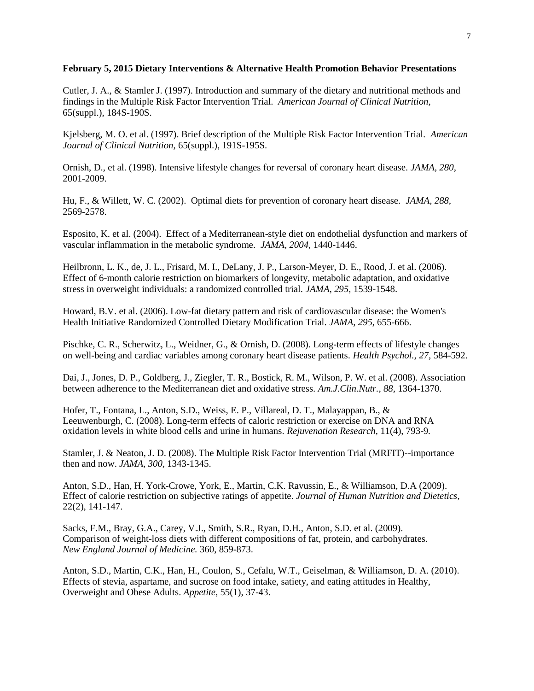## **February 5, 2015 Dietary Interventions & Alternative Health Promotion Behavior Presentations**

Cutler, J. A., & Stamler J. (1997). Introduction and summary of the dietary and nutritional methods and findings in the Multiple Risk Factor Intervention Trial. *American Journal of Clinical Nutrition,* 65(suppl.), 184S-190S.

Kjelsberg, M. O. et al. (1997). Brief description of the Multiple Risk Factor Intervention Trial. *American Journal of Clinical Nutrition,* 65(suppl.), 191S-195S.

Ornish, D., et al. (1998). Intensive lifestyle changes for reversal of coronary heart disease. *JAMA, 280,* 2001-2009.

Hu, F., & Willett, W. C. (2002). Optimal diets for prevention of coronary heart disease. *JAMA, 288,* 2569-2578.

Esposito, K. et al. (2004). Effect of a Mediterranean-style diet on endothelial dysfunction and markers of vascular inflammation in the metabolic syndrome. *JAMA, 2004,* 1440-1446.

Heilbronn, L. K., de, J. L., Frisard, M. I., DeLany, J. P., Larson-Meyer, D. E., Rood, J. et al. (2006). Effect of 6-month calorie restriction on biomarkers of longevity, metabolic adaptation, and oxidative stress in overweight individuals: a randomized controlled trial. *JAMA, 295,* 1539-1548.

Howard, B.V. et al. (2006). Low-fat dietary pattern and risk of cardiovascular disease: the Women's Health Initiative Randomized Controlled Dietary Modification Trial. *JAMA*, *295*, 655-666.

Pischke, C. R., Scherwitz, L., Weidner, G., & Ornish, D. (2008). Long-term effects of lifestyle changes on well-being and cardiac variables among coronary heart disease patients. *Health Psychol., 27,* 584-592.

Dai, J., Jones, D. P., Goldberg, J., Ziegler, T. R., Bostick, R. M., Wilson, P. W. et al. (2008). Association between adherence to the Mediterranean diet and oxidative stress. *Am.J.Clin.Nutr., 88,* 1364-1370.

Hofer, T., Fontana, L., Anton, S.D., Weiss, E. P., Villareal, D. T., Malayappan, B., & Leeuwenburgh, C. (2008). Long-term effects of caloric restriction or exercise on DNA and RNA oxidation levels in white blood cells and urine in humans. *Rejuvenation Research,* 11(4), 793-9*.*

Stamler, J. & Neaton, J. D. (2008). The Multiple Risk Factor Intervention Trial (MRFIT)--importance then and now. *JAMA, 300,* 1343-1345.

Anton, S.D., Han, H. York-Crowe, York, E., Martin, C.K. Ravussin, E., & Williamson, D.A (2009). Effect of calorie restriction on subjective ratings of appetite. *Journal of Human Nutrition and Dietetics*, 22(2), 141-147.

Sacks, F.M., Bray, G.A., Carey, V.J., Smith, S.R., Ryan, D.H., Anton, S.D. et al. (2009). Comparison of weight-loss diets with different compositions of fat, protein, and carbohydrates. *New England Journal of Medicine.* 360, 859-873.

Anton, S.D., Martin, C.K., Han, H., Coulon, S., Cefalu, W.T., Geiselman, & Williamson, D. A. (2010). Effects of stevia, aspartame, and sucrose on food intake, satiety, and eating attitudes in Healthy, Overweight and Obese Adults. *Appetite*, 55(1), 37-43.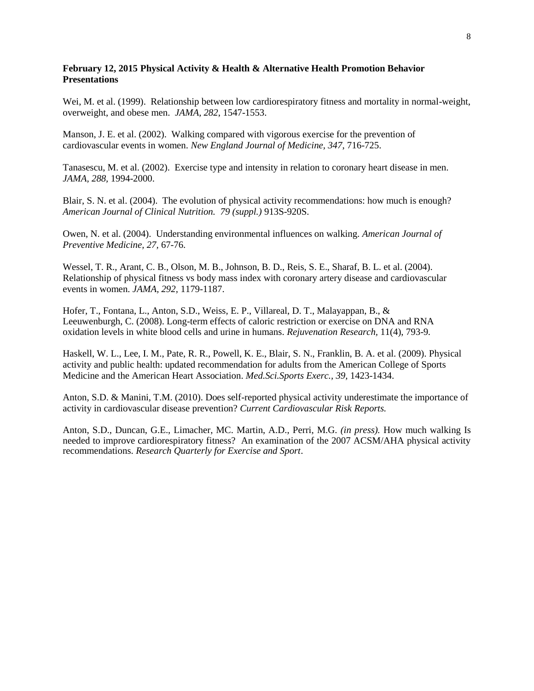# **February 12, 2015 Physical Activity & Health & Alternative Health Promotion Behavior Presentations**

Wei, M. et al. (1999). Relationship between low cardiorespiratory fitness and mortality in normal-weight, overweight, and obese men. *JAMA, 282*, 1547-1553.

Manson, J. E. et al. (2002). Walking compared with vigorous exercise for the prevention of cardiovascular events in women. *New England Journal of Medicine, 347*, 716-725.

Tanasescu, M. et al. (2002). Exercise type and intensity in relation to coronary heart disease in men. *JAMA, 288,* 1994-2000.

Blair, S. N. et al. (2004). The evolution of physical activity recommendations: how much is enough? *American Journal of Clinical Nutrition. 79 (suppl.)* 913S-920S.

Owen, N. et al. (2004). Understanding environmental influences on walking. *American Journal of Preventive Medicine, 27,* 67-76.

Wessel, T. R., Arant, C. B., Olson, M. B., Johnson, B. D., Reis, S. E., Sharaf, B. L. et al. (2004). Relationship of physical fitness vs body mass index with coronary artery disease and cardiovascular events in women. *JAMA, 292,* 1179-1187.

Hofer, T., Fontana, L., Anton, S.D., Weiss, E. P., Villareal, D. T., Malayappan, B., & Leeuwenburgh, C. (2008). Long-term effects of caloric restriction or exercise on DNA and RNA oxidation levels in white blood cells and urine in humans. *Rejuvenation Research,* 11(4), 793-9*.*

Haskell, W. L., Lee, I. M., Pate, R. R., Powell, K. E., Blair, S. N., Franklin, B. A. et al. (2009). Physical activity and public health: updated recommendation for adults from the American College of Sports Medicine and the American Heart Association. *Med.Sci.Sports Exerc., 39,* 1423-1434.

Anton, S.D. & Manini, T.M. (2010). Does self-reported physical activity underestimate the importance of activity in cardiovascular disease prevention? *Current Cardiovascular Risk Reports.*

Anton, S.D., Duncan, G.E., Limacher, MC. Martin, A.D., Perri, M.G. *(in press).* How much walking Is needed to improve cardiorespiratory fitness? An examination of the 2007 ACSM/AHA physical activity recommendations. *Research Quarterly for Exercise and Sport*.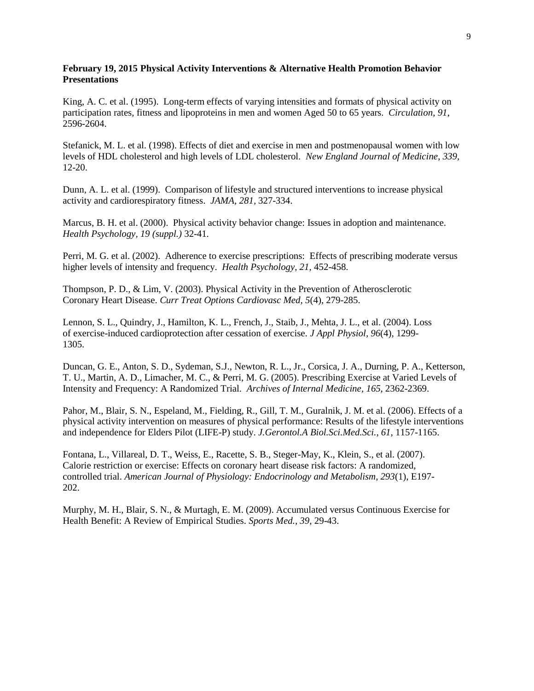# **February 19, 2015 Physical Activity Interventions & Alternative Health Promotion Behavior Presentations**

King, A. C. et al. (1995). Long-term effects of varying intensities and formats of physical activity on participation rates, fitness and lipoproteins in men and women Aged 50 to 65 years. *Circulation, 91*, 2596-2604.

Stefanick, M. L. et al. (1998). Effects of diet and exercise in men and postmenopausal women with low levels of HDL cholesterol and high levels of LDL cholesterol. *New England Journal of Medicine*, *339*, 12-20.

Dunn, A. L. et al. (1999). Comparison of lifestyle and structured interventions to increase physical activity and cardiorespiratory fitness. *JAMA, 281,* 327-334.

Marcus, B. H. et al. (2000). Physical activity behavior change: Issues in adoption and maintenance. *Health Psychology, 19 (suppl.)* 32-41.

Perri, M. G. et al. (2002). Adherence to exercise prescriptions: Effects of prescribing moderate versus higher levels of intensity and frequency. *Health Psychology, 21,* 452-458.

Thompson, P. D., & Lim, V. (2003). Physical Activity in the Prevention of Atherosclerotic Coronary Heart Disease. *Curr Treat Options Cardiovasc Med, 5*(4), 279-285.

Lennon, S. L., Quindry, J., Hamilton, K. L., French, J., Staib, J., Mehta, J. L., et al. (2004). Loss of exercise-induced cardioprotection after cessation of exercise. *J Appl Physiol, 96*(4), 1299- 1305.

Duncan, G. E., Anton, S. D., Sydeman, S.J., Newton, R. L., Jr., Corsica, J. A., Durning, P. A., Ketterson, T. U., Martin, A. D., Limacher, M. C., & Perri, M. G. (2005). Prescribing Exercise at Varied Levels of Intensity and Frequency: A Randomized Trial. *Archives of Internal Medicine*, *165*, 2362-2369.

Pahor, M., Blair, S. N., Espeland, M., Fielding, R., Gill, T. M., Guralnik, J. M. et al. (2006). Effects of a physical activity intervention on measures of physical performance: Results of the lifestyle interventions and independence for Elders Pilot (LIFE-P) study. *J.Gerontol.A Biol.Sci.Med.Sci., 61,* 1157-1165.

Fontana, L., Villareal, D. T., Weiss, E., Racette, S. B., Steger-May, K., Klein, S., et al. (2007). Calorie restriction or exercise: Effects on coronary heart disease risk factors: A randomized, controlled trial. *American Journal of Physiology: Endocrinology and Metabolism, 293*(1), E197- 202.

Murphy, M. H., Blair, S. N., & Murtagh, E. M. (2009). Accumulated versus Continuous Exercise for Health Benefit: A Review of Empirical Studies. *Sports Med., 39,* 29-43.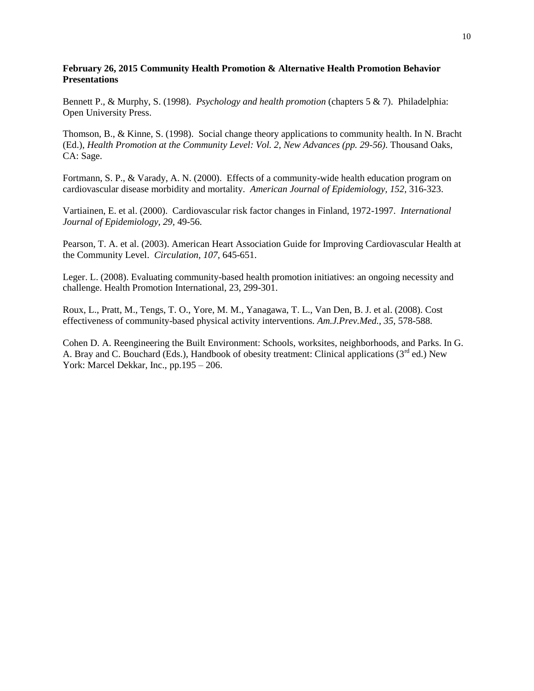# **February 26, 2015 Community Health Promotion & Alternative Health Promotion Behavior Presentations**

Bennett P., & Murphy, S. (1998). *Psychology and health promotion* (chapters 5 & 7). Philadelphia: Open University Press.

Thomson, B., & Kinne, S. (1998). Social change theory applications to community health. In N. Bracht (Ed.), *Health Promotion at the Community Level: Vol. 2, New Advances (pp. 29-56)*. Thousand Oaks, CA: Sage.

Fortmann, S. P., & Varady, A. N. (2000). Effects of a community-wide health education program on cardiovascular disease morbidity and mortality. *American Journal of Epidemiology, 152,* 316-323.

Vartiainen, E. et al. (2000). Cardiovascular risk factor changes in Finland, 1972-1997. *International Journal of Epidemiology, 29,* 49-56.

Pearson, T. A. et al. (2003). American Heart Association Guide for Improving Cardiovascular Health at the Community Level. *Circulation, 107,* 645-651.

Leger. L. (2008). Evaluating community-based health promotion initiatives: an ongoing necessity and challenge. Health Promotion International, 23, 299-301.

Roux, L., Pratt, M., Tengs, T. O., Yore, M. M., Yanagawa, T. L., Van Den, B. J. et al. (2008). Cost effectiveness of community-based physical activity interventions. *Am.J.Prev.Med., 35,* 578-588.

Cohen D. A. Reengineering the Built Environment: Schools, worksites, neighborhoods, and Parks. In G. A. Bray and C. Bouchard (Eds.), Handbook of obesity treatment: Clinical applications  $(3<sup>rd</sup>$  ed.) New York: Marcel Dekkar, Inc., pp.195 – 206.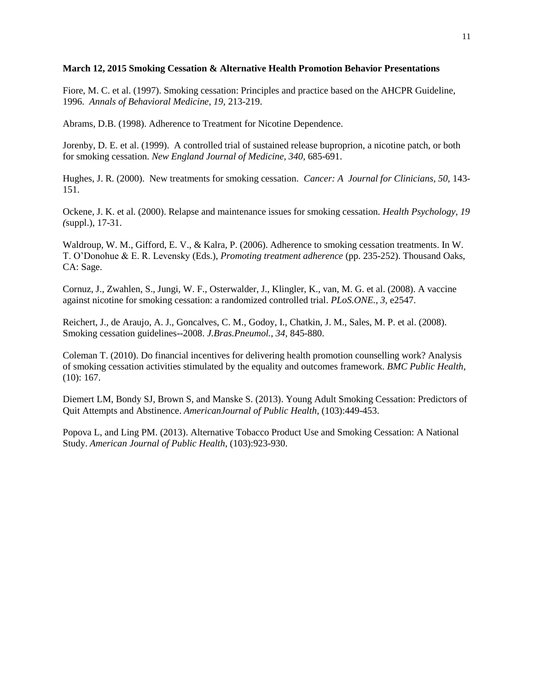# **March 12, 2015 Smoking Cessation & Alternative Health Promotion Behavior Presentations**

Fiore, M. C. et al. (1997). Smoking cessation: Principles and practice based on the AHCPR Guideline, 1996. *Annals of Behavioral Medicine, 19,* 213-219.

Abrams, D.B. (1998). Adherence to Treatment for Nicotine Dependence.

Jorenby, D. E. et al. (1999). A controlled trial of sustained release buproprion, a nicotine patch, or both for smoking cessation. *New England Journal of Medicine, 340,* 685-691.

Hughes, J. R. (2000). New treatments for smoking cessation. *Cancer: A Journal for Clinicians, 50,* 143- 151.

Ockene, J. K. et al. (2000). Relapse and maintenance issues for smoking cessation. *Health Psychology, 19 (*suppl.), 17-31.

Waldroup, W. M., Gifford, E. V., & Kalra, P. (2006). Adherence to smoking cessation treatments. In W. T. O'Donohue & E. R. Levensky (Eds.), *Promoting treatment adherence* (pp. 235-252). Thousand Oaks, CA: Sage.

Cornuz, J., Zwahlen, S., Jungi, W. F., Osterwalder, J., Klingler, K., van, M. G. et al. (2008). A vaccine against nicotine for smoking cessation: a randomized controlled trial. *PLoS.ONE., 3,* e2547.

Reichert, J., de Araujo, A. J., Goncalves, C. M., Godoy, I., Chatkin, J. M., Sales, M. P. et al. (2008). Smoking cessation guidelines--2008. *J.Bras.Pneumol., 34,* 845-880.

Coleman T. (2010). Do financial incentives for delivering health promotion counselling work? Analysis of smoking cessation activities stimulated by the equality and outcomes framework. *BMC Public Health*, (10): 167.

Diemert LM, Bondy SJ, Brown S, and Manske S. (2013). Young Adult Smoking Cessation: Predictors of Quit Attempts and Abstinence. *AmericanJournal of Public Health*, (103):449-453.

Popova L, and Ling PM. (2013). Alternative Tobacco Product Use and Smoking Cessation: A National Study. *American Journal of Public Health*, (103):923-930.